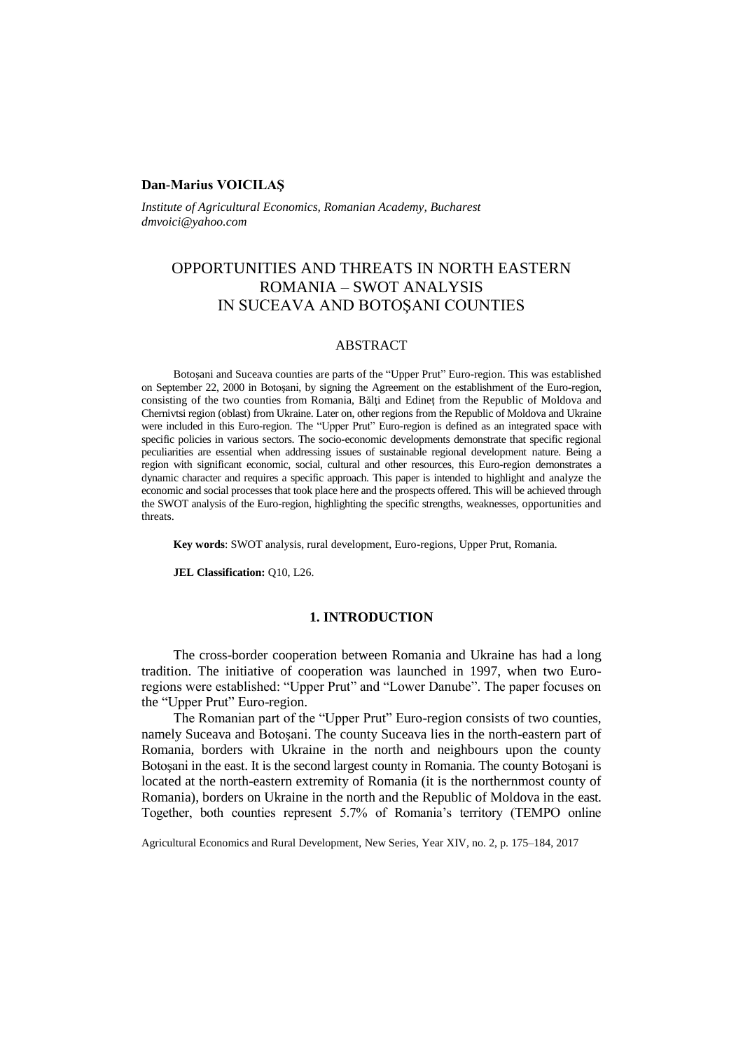### **Dan-Marius VOICILAŞ**

*Institute of Agricultural Economics, Romanian Academy, Bucharest dmvoici@yahoo.com*

# OPPORTUNITIES AND THREATS IN NORTH EASTERN ROMANIA – SWOT ANALYSIS IN SUCEAVA AND BOTOŞANI COUNTIES

### ABSTRACT

Botoşani and Suceava counties are parts of the "Upper Prut" Euro-region. This was established on September 22, 2000 in Botoşani, by signing the Agreement on the establishment of the Euro-region, consisting of the two counties from Romania, Bălți and Edinet from the Republic of Moldova and Chernivtsi region (oblast) from Ukraine. Later on, other regions from the Republic of Moldova and Ukraine were included in this Euro-region. The "Upper Prut" Euro-region is defined as an integrated space with specific policies in various sectors. The socio-economic developments demonstrate that specific regional peculiarities are essential when addressing issues of sustainable regional development nature. Being a region with significant economic, social, cultural and other resources, this Euro-region demonstrates a dynamic character and requires a specific approach. This paper is intended to highlight and analyze the economic and social processes that took place here and the prospects offered. This will be achieved through the SWOT analysis of the Euro-region, highlighting the specific strengths, weaknesses, opportunities and threats.

**Key words**: SWOT analysis, rural development, Euro-regions, Upper Prut, Romania*.*

**JEL Classification:** Q10, L26.

### **1. INTRODUCTION**

The cross-border cooperation between Romania and Ukraine has had a long tradition. The initiative of cooperation was launched in 1997, when two Euroregions were established: "Upper Prut" and "Lower Danube". The paper focuses on the "Upper Prut" Euro-region.

The Romanian part of the "Upper Prut" Euro-region consists of two counties, namely Suceava and Botoşani. The county Suceava lies in the north-eastern part of Romania, borders with Ukraine in the north and neighbours upon the county Botoşani in the east. It is the second largest county in Romania. The county Botoşani is located at the north-eastern extremity of Romania (it is the northernmost county of Romania), borders on Ukraine in the north and the Republic of Moldova in the east. Together, both counties represent 5.7% of Romania's territory (TEMPO online

Agricultural Economics and Rural Development, New Series, Year XIV, no. 2, p. 175–184, 2017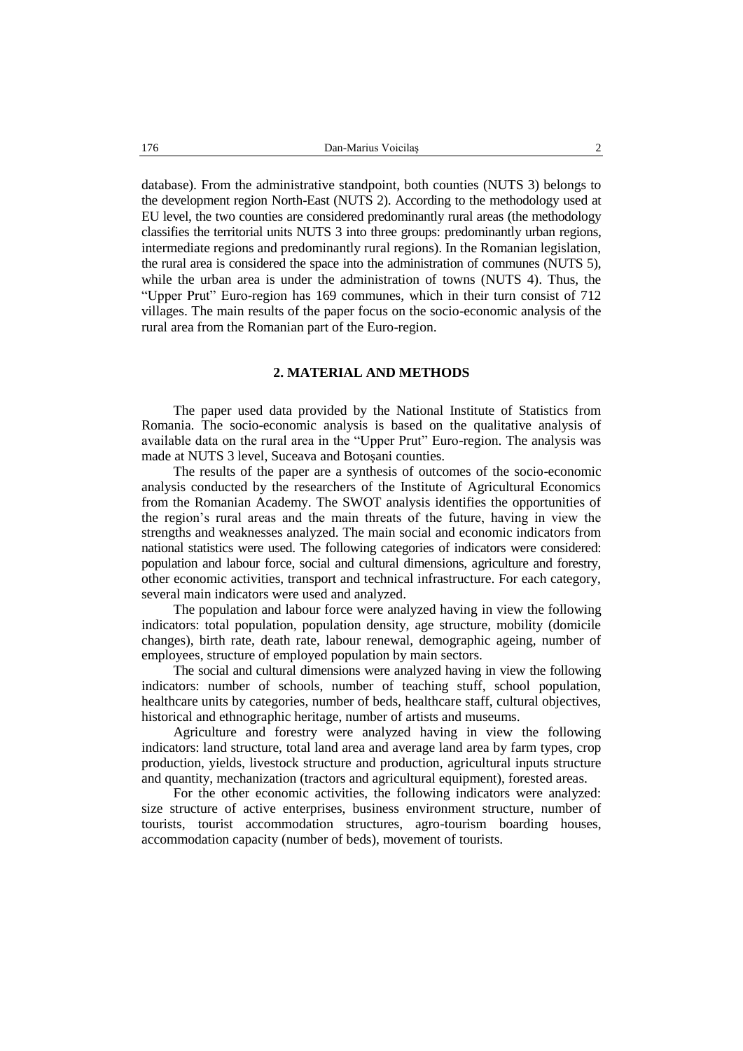database). From the administrative standpoint, both counties (NUTS 3) belongs to the development region North-East (NUTS 2). According to the methodology used at EU level, the two counties are considered predominantly rural areas (the methodology classifies the territorial units NUTS 3 into three groups: predominantly urban regions, intermediate regions and predominantly rural regions). In the Romanian legislation, the rural area is considered the space into the administration of communes (NUTS 5), while the urban area is under the administration of towns (NUTS 4). Thus, the "Upper Prut" Euro-region has 169 communes, which in their turn consist of 712 villages. The main results of the paper focus on the socio-economic analysis of the rural area from the Romanian part of the Euro-region.

#### **2. MATERIAL AND METHODS**

The paper used data provided by the National Institute of Statistics from Romania. The socio-economic analysis is based on the qualitative analysis of available data on the rural area in the "Upper Prut" Euro-region. The analysis was made at NUTS 3 level, Suceava and Botoşani counties.

The results of the paper are a synthesis of outcomes of the socio-economic analysis conducted by the researchers of the Institute of Agricultural Economics from the Romanian Academy. The SWOT analysis identifies the opportunities of the region's rural areas and the main threats of the future, having in view the strengths and weaknesses analyzed. The main social and economic indicators from national statistics were used. The following categories of indicators were considered: population and labour force, social and cultural dimensions, agriculture and forestry, other economic activities, transport and technical infrastructure. For each category, several main indicators were used and analyzed.

The population and labour force were analyzed having in view the following indicators: total population, population density, age structure, mobility (domicile changes), birth rate, death rate, labour renewal, demographic ageing, number of employees, structure of employed population by main sectors.

The social and cultural dimensions were analyzed having in view the following indicators: number of schools, number of teaching stuff, school population, healthcare units by categories, number of beds, healthcare staff, cultural objectives, historical and ethnographic heritage, number of artists and museums.

Agriculture and forestry were analyzed having in view the following indicators: land structure, total land area and average land area by farm types, crop production, yields, livestock structure and production, agricultural inputs structure and quantity, mechanization (tractors and agricultural equipment), forested areas.

For the other economic activities, the following indicators were analyzed: size structure of active enterprises, business environment structure, number of tourists, tourist accommodation structures, agro-tourism boarding houses, accommodation capacity (number of beds), movement of tourists.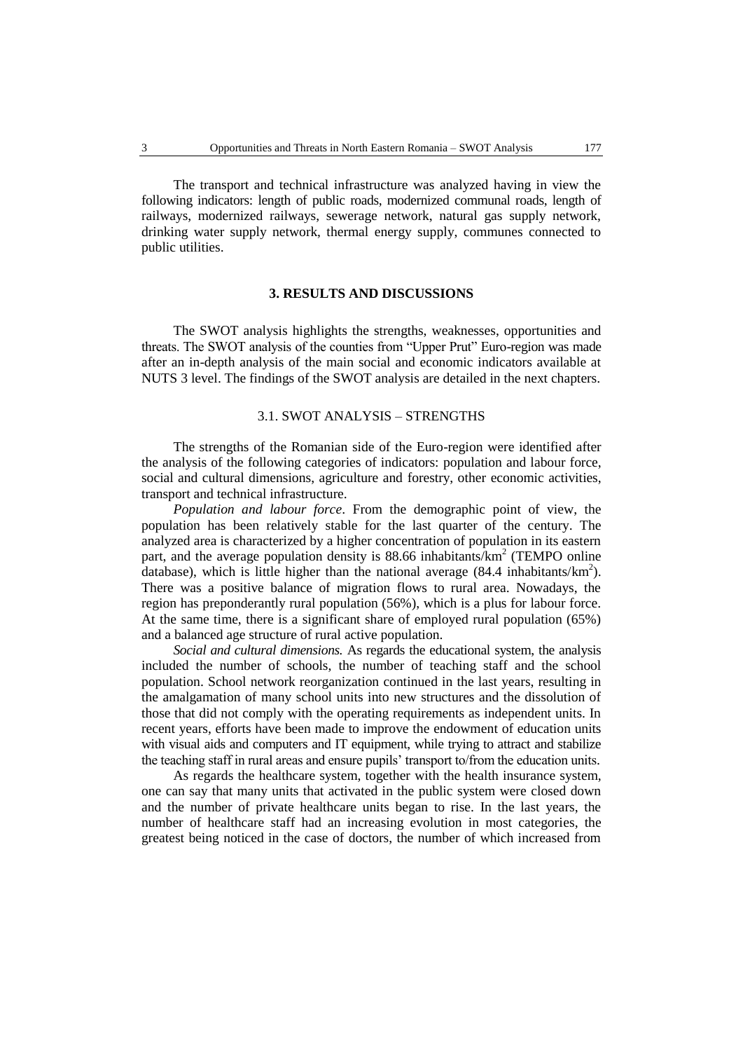The transport and technical infrastructure was analyzed having in view the following indicators: length of public roads, modernized communal roads, length of railways, modernized railways, sewerage network, natural gas supply network, drinking water supply network, thermal energy supply, communes connected to public utilities.

### **3. RESULTS AND DISCUSSIONS**

The SWOT analysis highlights the strengths, weaknesses, opportunities and threats. The SWOT analysis of the counties from "Upper Prut" Euro-region was made after an in-depth analysis of the main social and economic indicators available at NUTS 3 level. The findings of the SWOT analysis are detailed in the next chapters.

## 3.1. SWOT ANALYSIS – STRENGTHS

The strengths of the Romanian side of the Euro-region were identified after the analysis of the following categories of indicators: population and labour force, social and cultural dimensions, agriculture and forestry, other economic activities, transport and technical infrastructure.

*Population and labour force*. From the demographic point of view, the population has been relatively stable for the last quarter of the century. The analyzed area is characterized by a higher concentration of population in its eastern part, and the average population density is  $88.66$  inhabitants/ $km^2$  (TEMPO online database), which is little higher than the national average  $(84.4 \text{ inhabitants/km}^2)$ . There was a positive balance of migration flows to rural area. Nowadays, the region has preponderantly rural population (56%), which is a plus for labour force. At the same time, there is a significant share of employed rural population (65%) and a balanced age structure of rural active population.

*Social and cultural dimensions.* As regards the educational system, the analysis included the number of schools, the number of teaching staff and the school population. School network reorganization continued in the last years, resulting in the amalgamation of many school units into new structures and the dissolution of those that did not comply with the operating requirements as independent units. In recent years, efforts have been made to improve the endowment of education units with visual aids and computers and IT equipment, while trying to attract and stabilize the teaching staff in rural areas and ensure pupils' transport to/from the education units.

As regards the healthcare system, together with the health insurance system, one can say that many units that activated in the public system were closed down and the number of private healthcare units began to rise. In the last years, the number of healthcare staff had an increasing evolution in most categories, the greatest being noticed in the case of doctors, the number of which increased from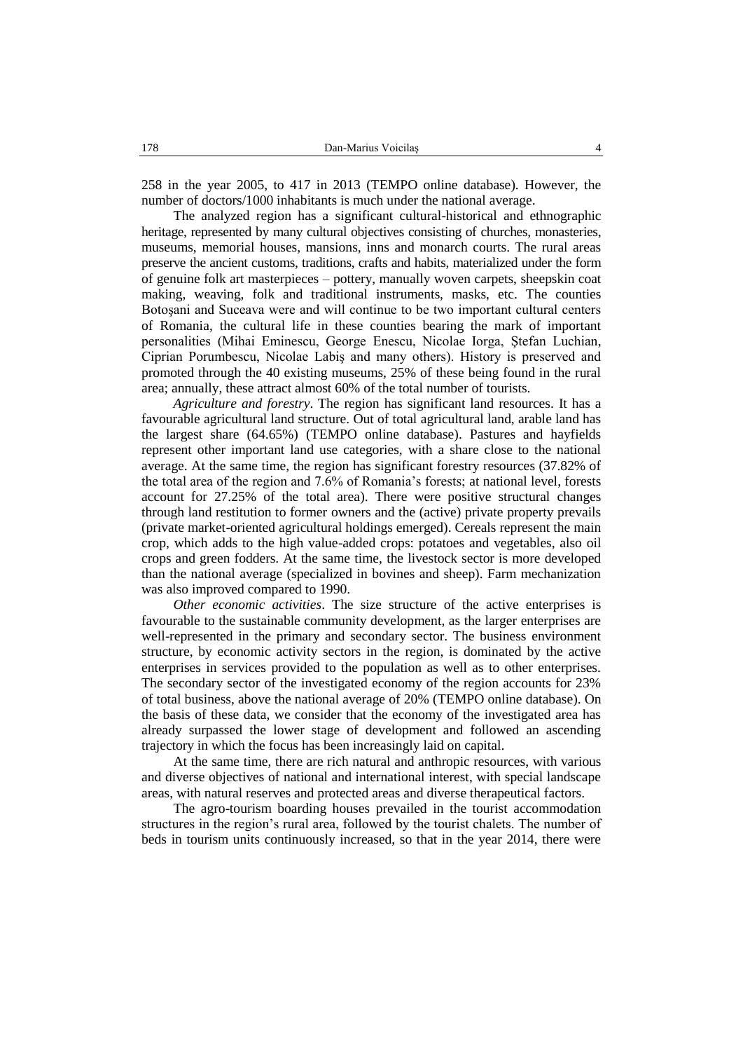258 in the year 2005, to 417 in 2013 (TEMPO online database). However, the number of doctors/1000 inhabitants is much under the national average.

The analyzed region has a significant cultural-historical and ethnographic heritage, represented by many cultural objectives consisting of churches, monasteries, museums, memorial houses, mansions, inns and monarch courts. The rural areas preserve the ancient customs, traditions, crafts and habits, materialized under the form of genuine folk art masterpieces – pottery, manually woven carpets, sheepskin coat making, weaving, folk and traditional instruments, masks, etc. The counties Botoşani and Suceava were and will continue to be two important cultural centers of Romania, the cultural life in these counties bearing the mark of important personalities (Mihai Eminescu, George Enescu, Nicolae Iorga, Ştefan Luchian, Ciprian Porumbescu, Nicolae Labiş and many others). History is preserved and promoted through the 40 existing museums, 25% of these being found in the rural area; annually, these attract almost 60% of the total number of tourists.

*Agriculture and forestry*. The region has significant land resources. It has a favourable agricultural land structure. Out of total agricultural land, arable land has the largest share (64.65%) (TEMPO online database). Pastures and hayfields represent other important land use categories, with a share close to the national average. At the same time, the region has significant forestry resources (37.82% of the total area of the region and 7.6% of Romania's forests; at national level, forests account for 27.25% of the total area). There were positive structural changes through land restitution to former owners and the (active) private property prevails (private market-oriented agricultural holdings emerged). Cereals represent the main crop, which adds to the high value-added crops: potatoes and vegetables, also oil crops and green fodders. At the same time, the livestock sector is more developed than the national average (specialized in bovines and sheep). Farm mechanization was also improved compared to 1990.

*Other economic activities*. The size structure of the active enterprises is favourable to the sustainable community development, as the larger enterprises are well-represented in the primary and secondary sector. The business environment structure, by economic activity sectors in the region, is dominated by the active enterprises in services provided to the population as well as to other enterprises. The secondary sector of the investigated economy of the region accounts for 23% of total business, above the national average of 20% (TEMPO online database). On the basis of these data, we consider that the economy of the investigated area has already surpassed the lower stage of development and followed an ascending trajectory in which the focus has been increasingly laid on capital.

At the same time, there are rich natural and anthropic resources, with various and diverse objectives of national and international interest, with special landscape areas, with natural reserves and protected areas and diverse therapeutical factors.

The agro-tourism boarding houses prevailed in the tourist accommodation structures in the region's rural area, followed by the tourist chalets. The number of beds in tourism units continuously increased, so that in the year 2014, there were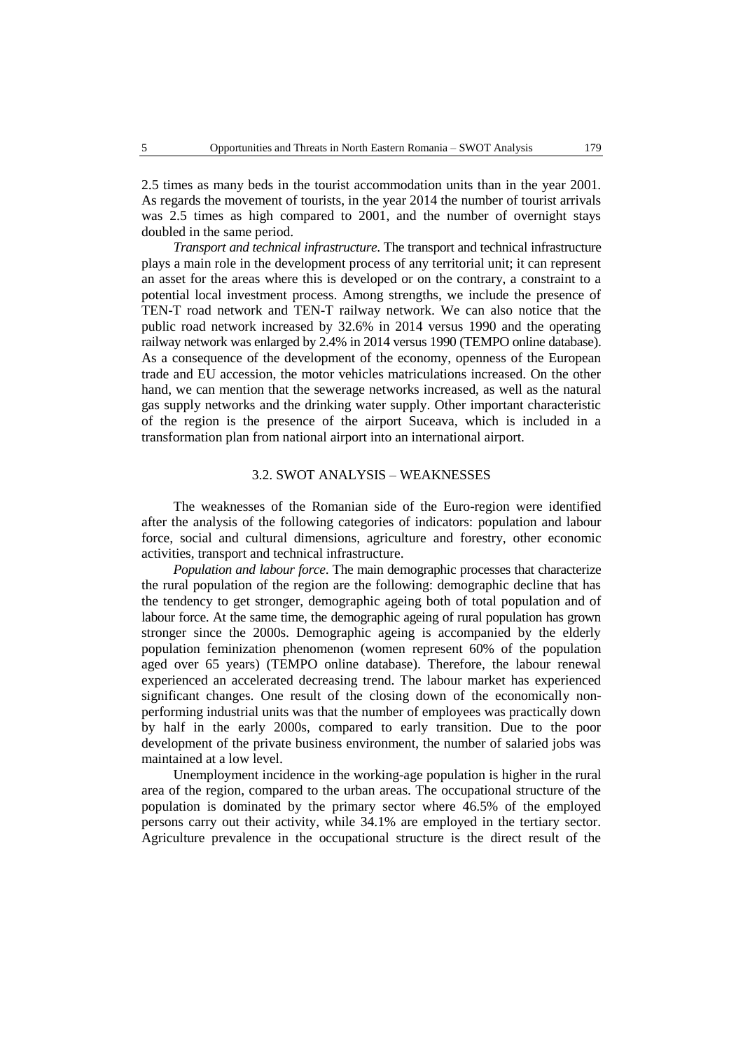2.5 times as many beds in the tourist accommodation units than in the year 2001. As regards the movement of tourists, in the year 2014 the number of tourist arrivals was 2.5 times as high compared to 2001, and the number of overnight stays doubled in the same period.

*Transport and technical infrastructure*. The transport and technical infrastructure plays a main role in the development process of any territorial unit; it can represent an asset for the areas where this is developed or on the contrary, a constraint to a potential local investment process. Among strengths, we include the presence of TEN-T road network and TEN-T railway network. We can also notice that the public road network increased by 32.6% in 2014 versus 1990 and the operating railway network was enlarged by 2.4% in 2014 versus 1990 (TEMPO online database). As a consequence of the development of the economy, openness of the European trade and EU accession, the motor vehicles matriculations increased. On the other hand, we can mention that the sewerage networks increased, as well as the natural gas supply networks and the drinking water supply. Other important characteristic of the region is the presence of the airport Suceava, which is included in a transformation plan from national airport into an international airport.

### 3.2. SWOT ANALYSIS – WEAKNESSES

The weaknesses of the Romanian side of the Euro-region were identified after the analysis of the following categories of indicators: population and labour force, social and cultural dimensions, agriculture and forestry, other economic activities, transport and technical infrastructure.

*Population and labour force*. The main demographic processes that characterize the rural population of the region are the following: demographic decline that has the tendency to get stronger, demographic ageing both of total population and of labour force. At the same time, the demographic ageing of rural population has grown stronger since the 2000s. Demographic ageing is accompanied by the elderly population feminization phenomenon (women represent 60% of the population aged over 65 years) (TEMPO online database). Therefore, the labour renewal experienced an accelerated decreasing trend. The labour market has experienced significant changes. One result of the closing down of the economically nonperforming industrial units was that the number of employees was practically down by half in the early 2000s, compared to early transition. Due to the poor development of the private business environment, the number of salaried jobs was maintained at a low level.

Unemployment incidence in the working-age population is higher in the rural area of the region, compared to the urban areas. The occupational structure of the population is dominated by the primary sector where 46.5% of the employed persons carry out their activity, while 34.1% are employed in the tertiary sector. Agriculture prevalence in the occupational structure is the direct result of the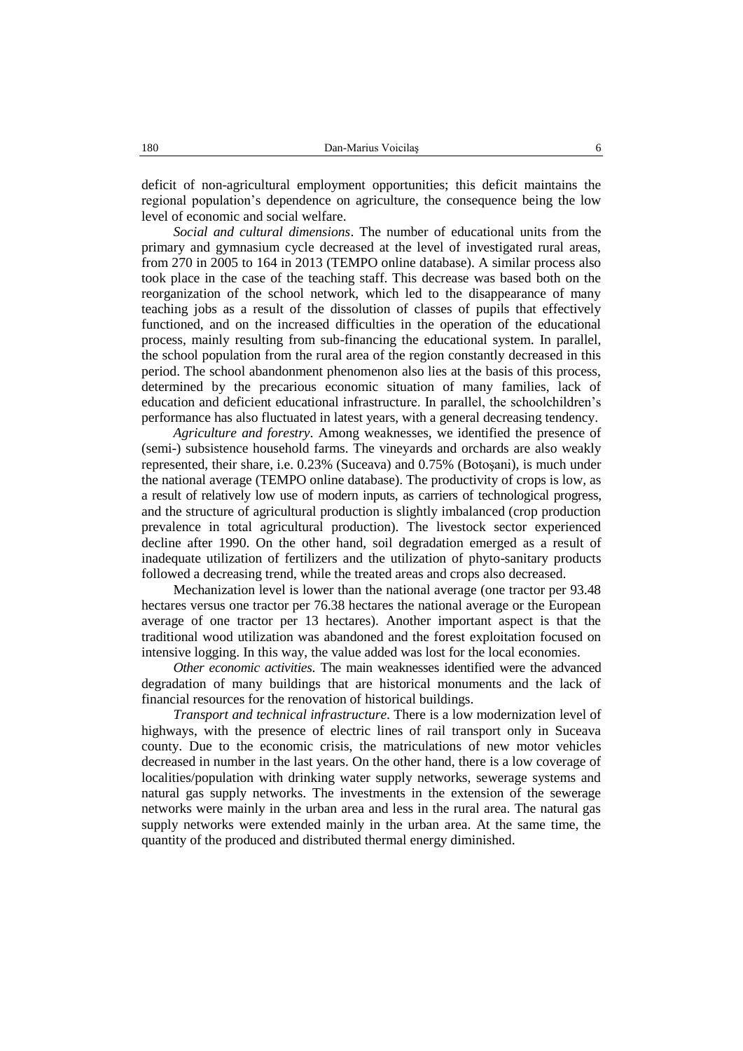deficit of non-agricultural employment opportunities; this deficit maintains the regional population's dependence on agriculture, the consequence being the low level of economic and social welfare.

*Social and cultural dimensions*. The number of educational units from the primary and gymnasium cycle decreased at the level of investigated rural areas, from 270 in 2005 to 164 in 2013 (TEMPO online database). A similar process also took place in the case of the teaching staff. This decrease was based both on the reorganization of the school network, which led to the disappearance of many teaching jobs as a result of the dissolution of classes of pupils that effectively functioned, and on the increased difficulties in the operation of the educational process, mainly resulting from sub-financing the educational system. In parallel, the school population from the rural area of the region constantly decreased in this period. The school abandonment phenomenon also lies at the basis of this process, determined by the precarious economic situation of many families, lack of education and deficient educational infrastructure. In parallel, the schoolchildren's performance has also fluctuated in latest years, with a general decreasing tendency.

*Agriculture and forestry*. Among weaknesses, we identified the presence of (semi-) subsistence household farms. The vineyards and orchards are also weakly represented, their share, i.e. 0.23% (Suceava) and 0.75% (Botoşani), is much under the national average (TEMPO online database). The productivity of crops is low, as a result of relatively low use of modern inputs, as carriers of technological progress, and the structure of agricultural production is slightly imbalanced (crop production prevalence in total agricultural production). The livestock sector experienced decline after 1990. On the other hand, soil degradation emerged as a result of inadequate utilization of fertilizers and the utilization of phyto-sanitary products followed a decreasing trend, while the treated areas and crops also decreased.

Mechanization level is lower than the national average (one tractor per 93.48 hectares versus one tractor per 76.38 hectares the national average or the European average of one tractor per 13 hectares). Another important aspect is that the traditional wood utilization was abandoned and the forest exploitation focused on intensive logging. In this way, the value added was lost for the local economies.

*Other economic activities*. The main weaknesses identified were the advanced degradation of many buildings that are historical monuments and the lack of financial resources for the renovation of historical buildings.

*Transport and technical infrastructure*. There is a low modernization level of highways, with the presence of electric lines of rail transport only in Suceava county. Due to the economic crisis, the matriculations of new motor vehicles decreased in number in the last years. On the other hand, there is a low coverage of localities/population with drinking water supply networks, sewerage systems and natural gas supply networks. The investments in the extension of the sewerage networks were mainly in the urban area and less in the rural area. The natural gas supply networks were extended mainly in the urban area. At the same time, the quantity of the produced and distributed thermal energy diminished.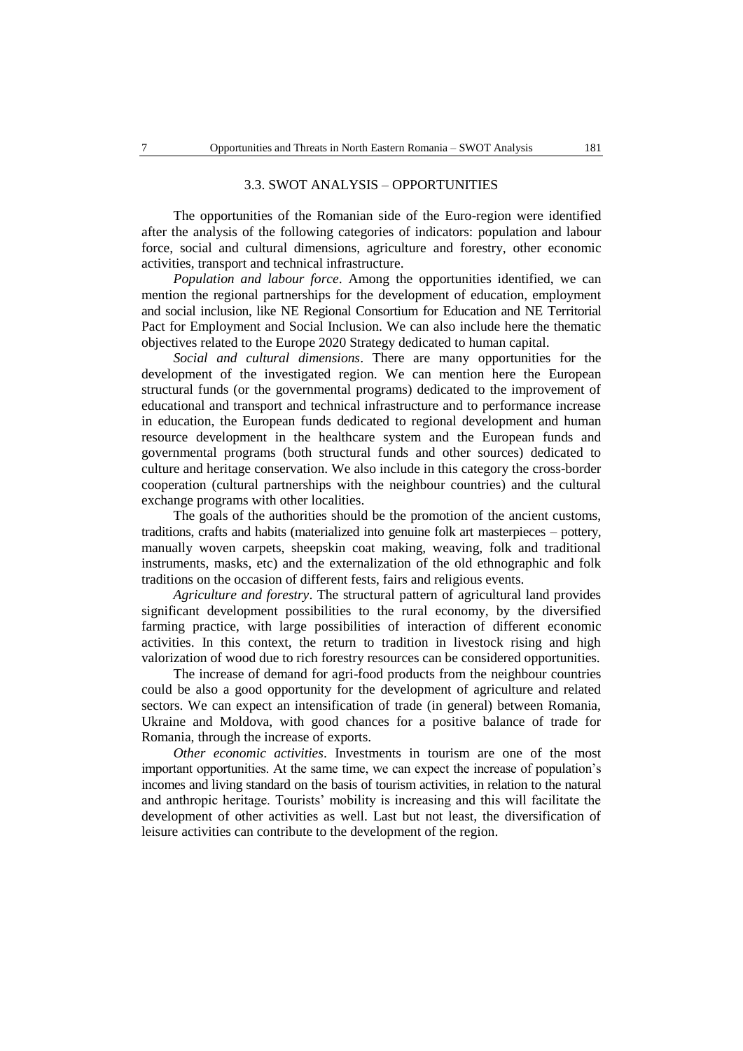#### 3.3. SWOT ANALYSIS – OPPORTUNITIES

The opportunities of the Romanian side of the Euro-region were identified after the analysis of the following categories of indicators: population and labour force, social and cultural dimensions, agriculture and forestry, other economic activities, transport and technical infrastructure.

*Population and labour force*. Among the opportunities identified, we can mention the regional partnerships for the development of education, employment and social inclusion, like NE Regional Consortium for Education and NE Territorial Pact for Employment and Social Inclusion. We can also include here the thematic objectives related to the Europe 2020 Strategy dedicated to human capital.

*Social and cultural dimensions*. There are many opportunities for the development of the investigated region. We can mention here the European structural funds (or the governmental programs) dedicated to the improvement of educational and transport and technical infrastructure and to performance increase in education, the European funds dedicated to regional development and human resource development in the healthcare system and the European funds and governmental programs (both structural funds and other sources) dedicated to culture and heritage conservation. We also include in this category the cross-border cooperation (cultural partnerships with the neighbour countries) and the cultural exchange programs with other localities.

The goals of the authorities should be the promotion of the ancient customs, traditions, crafts and habits (materialized into genuine folk art masterpieces – pottery, manually woven carpets, sheepskin coat making, weaving, folk and traditional instruments, masks, etc) and the externalization of the old ethnographic and folk traditions on the occasion of different fests, fairs and religious events.

*Agriculture and forestry*. The structural pattern of agricultural land provides significant development possibilities to the rural economy, by the diversified farming practice, with large possibilities of interaction of different economic activities. In this context, the return to tradition in livestock rising and high valorization of wood due to rich forestry resources can be considered opportunities.

The increase of demand for agri-food products from the neighbour countries could be also a good opportunity for the development of agriculture and related sectors. We can expect an intensification of trade (in general) between Romania, Ukraine and Moldova, with good chances for a positive balance of trade for Romania, through the increase of exports.

*Other economic activities*. Investments in tourism are one of the most important opportunities. At the same time, we can expect the increase of population's incomes and living standard on the basis of tourism activities, in relation to the natural and anthropic heritage. Tourists' mobility is increasing and this will facilitate the development of other activities as well. Last but not least, the diversification of leisure activities can contribute to the development of the region.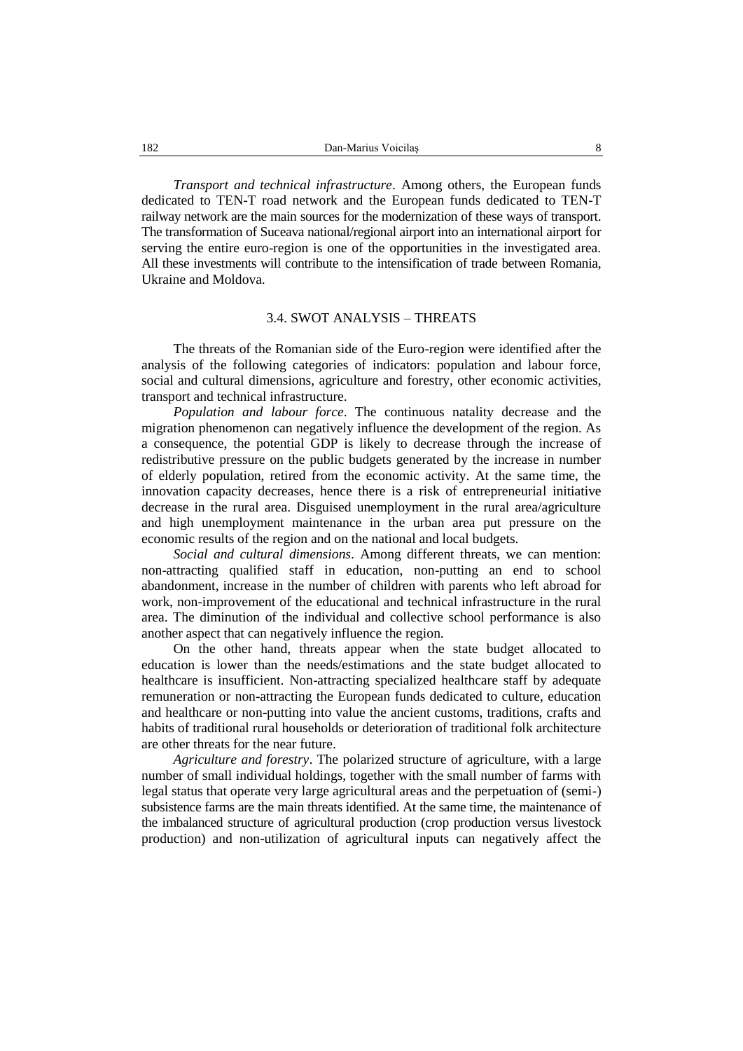*Transport and technical infrastructure*. Among others, the European funds dedicated to TEN-T road network and the European funds dedicated to TEN-T railway network are the main sources for the modernization of these ways of transport. The transformation of Suceava national/regional airport into an international airport for serving the entire euro-region is one of the opportunities in the investigated area. All these investments will contribute to the intensification of trade between Romania, Ukraine and Moldova.

#### 3.4. SWOT ANALYSIS – THREATS

The threats of the Romanian side of the Euro-region were identified after the analysis of the following categories of indicators: population and labour force, social and cultural dimensions, agriculture and forestry, other economic activities, transport and technical infrastructure.

*Population and labour force*. The continuous natality decrease and the migration phenomenon can negatively influence the development of the region. As a consequence, the potential GDP is likely to decrease through the increase of redistributive pressure on the public budgets generated by the increase in number of elderly population, retired from the economic activity. At the same time, the innovation capacity decreases, hence there is a risk of entrepreneurial initiative decrease in the rural area. Disguised unemployment in the rural area/agriculture and high unemployment maintenance in the urban area put pressure on the economic results of the region and on the national and local budgets.

*Social and cultural dimensions*. Among different threats, we can mention: non-attracting qualified staff in education, non-putting an end to school abandonment, increase in the number of children with parents who left abroad for work, non-improvement of the educational and technical infrastructure in the rural area. The diminution of the individual and collective school performance is also another aspect that can negatively influence the region.

On the other hand, threats appear when the state budget allocated to education is lower than the needs/estimations and the state budget allocated to healthcare is insufficient. Non-attracting specialized healthcare staff by adequate remuneration or non-attracting the European funds dedicated to culture, education and healthcare or non-putting into value the ancient customs, traditions, crafts and habits of traditional rural households or deterioration of traditional folk architecture are other threats for the near future.

*Agriculture and forestry*. The polarized structure of agriculture, with a large number of small individual holdings, together with the small number of farms with legal status that operate very large agricultural areas and the perpetuation of (semi-) subsistence farms are the main threats identified. At the same time, the maintenance of the imbalanced structure of agricultural production (crop production versus livestock production) and non-utilization of agricultural inputs can negatively affect the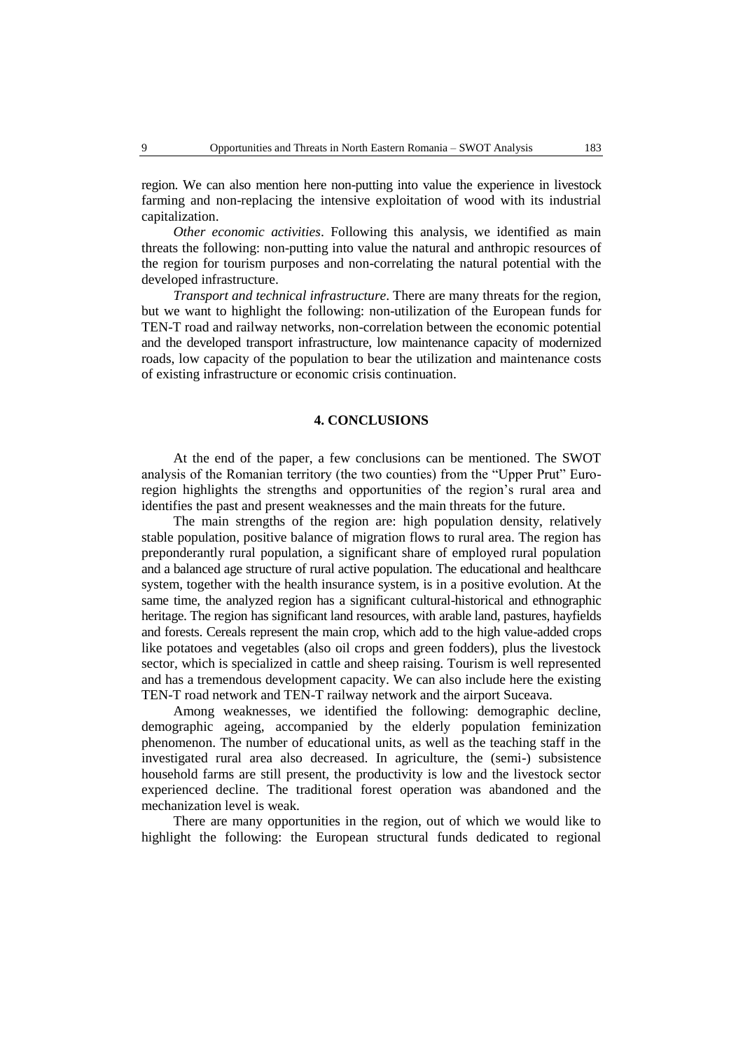region. We can also mention here non-putting into value the experience in livestock farming and non-replacing the intensive exploitation of wood with its industrial capitalization.

*Other economic activities*. Following this analysis, we identified as main threats the following: non-putting into value the natural and anthropic resources of the region for tourism purposes and non-correlating the natural potential with the developed infrastructure.

*Transport and technical infrastructure*. There are many threats for the region, but we want to highlight the following: non-utilization of the European funds for TEN-T road and railway networks, non-correlation between the economic potential and the developed transport infrastructure, low maintenance capacity of modernized roads, low capacity of the population to bear the utilization and maintenance costs of existing infrastructure or economic crisis continuation.

#### **4. CONCLUSIONS**

At the end of the paper, a few conclusions can be mentioned. The SWOT analysis of the Romanian territory (the two counties) from the "Upper Prut" Euroregion highlights the strengths and opportunities of the region's rural area and identifies the past and present weaknesses and the main threats for the future.

The main strengths of the region are: high population density, relatively stable population, positive balance of migration flows to rural area. The region has preponderantly rural population, a significant share of employed rural population and a balanced age structure of rural active population. The educational and healthcare system, together with the health insurance system, is in a positive evolution. At the same time, the analyzed region has a significant cultural-historical and ethnographic heritage. The region has significant land resources, with arable land, pastures, hayfields and forests. Cereals represent the main crop, which add to the high value-added crops like potatoes and vegetables (also oil crops and green fodders), plus the livestock sector, which is specialized in cattle and sheep raising. Tourism is well represented and has a tremendous development capacity. We can also include here the existing TEN-T road network and TEN-T railway network and the airport Suceava.

Among weaknesses, we identified the following: demographic decline, demographic ageing, accompanied by the elderly population feminization phenomenon. The number of educational units, as well as the teaching staff in the investigated rural area also decreased. In agriculture, the (semi-) subsistence household farms are still present, the productivity is low and the livestock sector experienced decline. The traditional forest operation was abandoned and the mechanization level is weak.

There are many opportunities in the region, out of which we would like to highlight the following: the European structural funds dedicated to regional